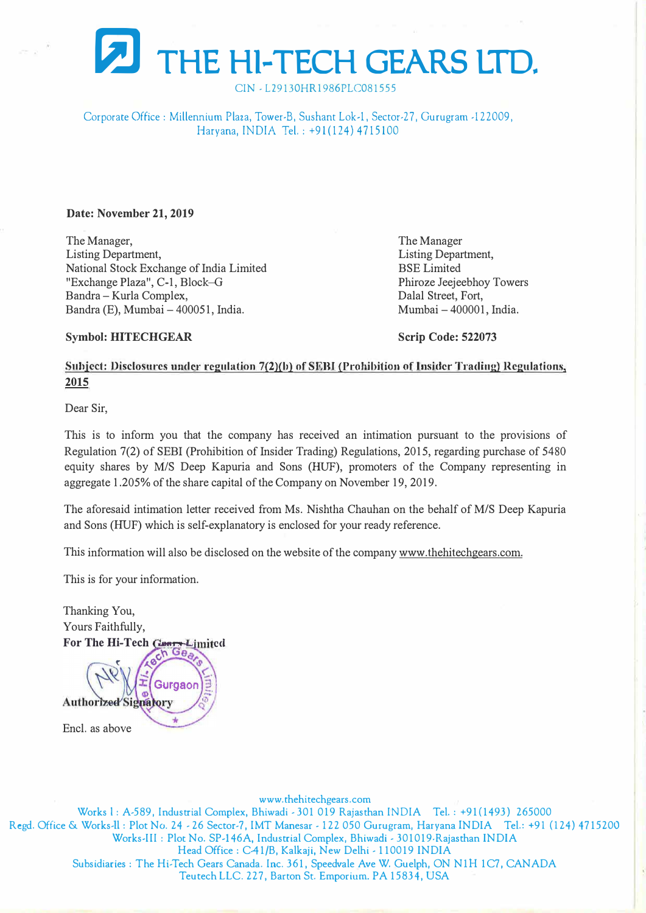

CIN - L29130HR1986PLC081555

Corporate Office : Millennium Plaza, Tower-B, Sushant Lok-1, Sector-2 7, Gurugram -122009, Haryana, INDIA Tel.: +91(124) 4715100

#### **Date: November 21, 2019**

The Manager, Listing Department, National Stock Exchange of India Limited "Exchange Plaza", C-1, Block-G Bandra -Kurla Complex, Bandra (E), Mumbai - 400051, India.

The Manager Listing Department, BSE Limited Phiroze Jeejeebhoy Towers Dalal Street, Fort, Mumbai-400001, India.

### **Symbol: HITECHGEAR**

**Scrip Code: 522073** 

# **Subject: Disclosures under regulation 7(2)(b) of SEBI (Prohibition of Insider Trading) Regulations, 2015**

Dear Sir,

This is to inform you that the company has received an intimation pursuant to the provisions of Regulation 7(2) of SEBI (Prohibition of Insider Trading) Regulations, 2015, regarding purchase of 5480 equity shares by *MIS* Deep Kapuria and Sons (HUF), promoters of the Company representing in aggregate 1.205% of the share capital of the Company on November 19, 2019.

The aforesaid intimation letter received from Ms. Nishtha Chauhan on the behalf of M/S Deep Kapuria and Sons (HUF) which is self-explanatory is enclosed for your ready reference.

This information will also be disclosed on the website of the company www.thehitechgears.com.

This is for your information.

Thanking You, Yours Faithfully, **For The Hi-Tech Congs-Limited** 

 $60h$ Gurgaor **Authorized Signatory** Encl. as above

www.thehitechgears.com Works I: A-589, Industrial Complex, Bhiwadi - 301 019 Rajasthan INDIA Tel.: +91(1493) 265000 Regd. Office & Works-II: Plot No. 24 - 26 Sector-7, IMT Manesar - 122 050 Gurugram, Haryana INDIA Tel.: +91 (124) 4715200 Works-III: Plot No. SP-146A, Industrial Complex, Bhiwadi - 301019-Rajasthan INDIA Head Office: C41/B, Kalkaji, New Delhi - 110019 INDIA Subsidiaries: T he Hi-Tech Gears Canada. Inc. 361, Speedvale Ave W. Guelph, ON NlH 1C7, CANADA Teutech LLC. 227, Barton St. Emporium. PA 15834, USA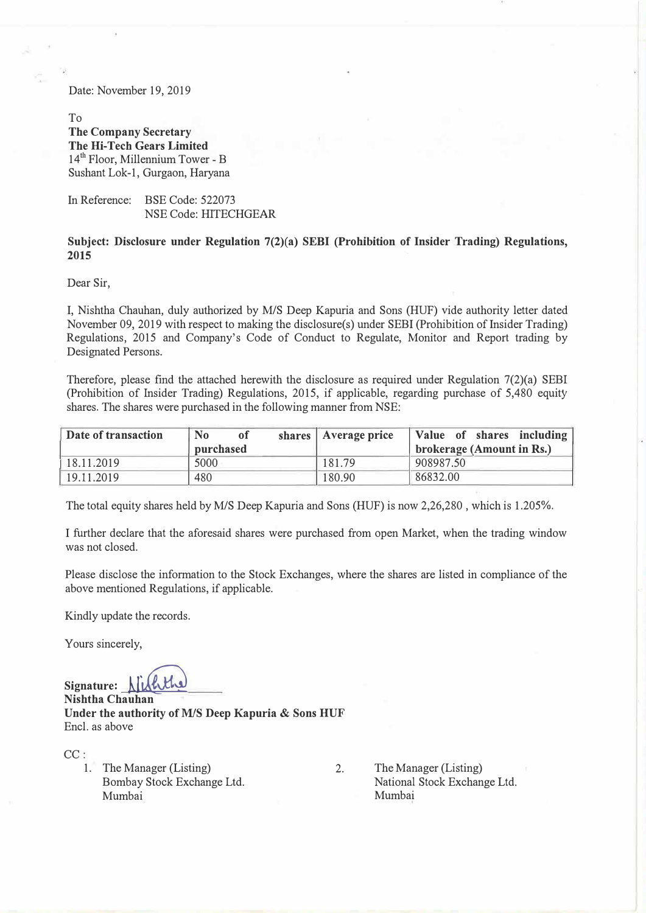Date: November 19, 2019

To **The Company Secretary The Hi-Tech Gears Limited**  14<sup>th</sup> Floor, Millennium Tower - B Sushant Lok-1, Gurgaon, Haryana

In Reference: BSE Code: 522073 NSE Code: HITECHGEAR

## **Subject: Disclosure under Regulation 7(2)(a) SEBI (Prohibition of Insider Trading) Regulations, 2015**

Dear Sir,

I, Nishtha Chauhan, duly authorized by M/S Deep Kapuria and Sons (HUF) vide authority letter dated November 09, 2019 with respect to making the disclosure(s) under SEBI (Prohibition of Insider Trading) Regulations, 2015 and Company's Code of Conduct to Regulate, Monitor and Report trading by Designated Persons.

Therefore, please find the attached herewith the disclosure as required under Regulation 7(2)(a) SEBI (Prohibition of Insider Trading) Regulations, 2015, if applicable, regarding purchase of 5,480 equity shares. The shares were purchased in the following manner from NSE:

| Date of transaction | N <sub>0</sub><br>οt<br>purchased | shares   Average price | Value of shares including<br>brokerage (Amount in Rs.) |
|---------------------|-----------------------------------|------------------------|--------------------------------------------------------|
| 18.11.2019          | 5000                              | 181.79                 | 908987.50                                              |
| 19.11.2019          | 480                               | 180.90                 | 86832.00                                               |

The total equity shares held by M/S Deep Kapuria and Sons (HUF) is now 2,26,280 , which is 1.205%.

I further declare that the aforesaid shares were purchased from open Market, when the trading window was not closed.

Please disclose the information to the Stock Exchanges, where the shares are listed in compliance of the above mentioned Regulations, if applicable.

Kindly update the records.

Yours sincerely,

**Signature: kf� Nishtha Chauhan Under the authority of** *MIS* **Deep Kapuria & Sons HUF**  Encl. as above

CC:

1. The Manager (Listing) Bombay Stock Exchange Ltd. Mumbai

2. The Manager (Listing) National Stock Exchange Ltd. Mumbai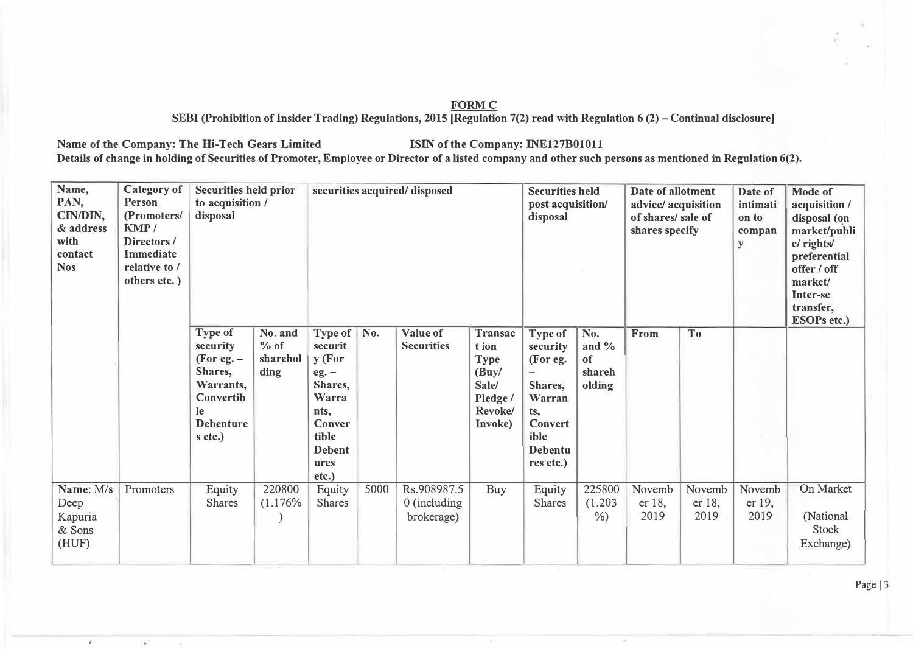### **FORMC**

**SEBI (Prohibition oflnsider Trading) Regulations, 2015 [Regulation 7(2) read with Regulation 6 (2) -Continual disclosure]** 

Name of the Company: The Hi-Tech Gears Limited **ISIN** of the Company: INE127B01011

 $\mathcal{L}$ 

w

**Details of change in holding of Securities of Promoter, Employee or Director of a listed company and other such persons as mentioned in Regulation 6(2).** 

| Name,<br>PAN,<br>CIN/DIN,<br>& address<br>with<br>contact<br><b>Nos</b> | <b>Category</b> of<br>Person<br>(Promoters/<br>KMP/<br>Directors /<br><b>Immediate</b><br>relative to /<br>others etc.) | <b>Securities held prior</b><br>to acquisition /<br>disposal                                                  |                                       | securities acquired/ disposed                                                                                                   |      |                                             |                                                                                    | <b>Securities held</b><br>post acquisition/<br>disposal                                                                   |                                           | Date of allotment<br>advice/ acquisition<br>of shares/ sale of<br>shares specify |                          | Date of<br>intimati<br>on to<br>compan<br>y | Mode of<br>acquisition /<br>disposal (on<br>market/publi<br>c/ rights/<br>preferential<br>offer / off<br>market/<br>Inter-se<br>transfer,<br><b>ESOPs etc.)</b> |
|-------------------------------------------------------------------------|-------------------------------------------------------------------------------------------------------------------------|---------------------------------------------------------------------------------------------------------------|---------------------------------------|---------------------------------------------------------------------------------------------------------------------------------|------|---------------------------------------------|------------------------------------------------------------------------------------|---------------------------------------------------------------------------------------------------------------------------|-------------------------------------------|----------------------------------------------------------------------------------|--------------------------|---------------------------------------------|-----------------------------------------------------------------------------------------------------------------------------------------------------------------|
|                                                                         |                                                                                                                         | Type of<br>security<br>(For eg. $-$<br>Shares,<br>Warrants,<br>Convertib<br>le<br><b>Debenture</b><br>s etc.) | No. and<br>$%$ of<br>sharehol<br>ding | <b>Type of</b><br>securit<br>y (For<br>$eg. -$<br>Shares,<br>Warra<br>nts,<br>Conver<br>tible<br><b>Debent</b><br>ures<br>etc.) | No.  | Value of<br><b>Securities</b>               | Transac<br>t ion<br>Type<br>$($ Buy $/$<br>Sale/<br>Pledge /<br>Revoke/<br>Invoke) | Type of<br>security<br>(For eg.<br>-<br>Shares,<br>Warran<br>ts,<br><b>Convert</b><br>ible<br><b>Debentu</b><br>res etc.) | No.<br>and $\%$<br>of<br>shareh<br>olding | From                                                                             | <b>To</b>                |                                             |                                                                                                                                                                 |
| Name: M/s<br>Deep<br>Kapuria<br>& Sons<br>(HUF)                         | Promoters                                                                                                               | Equity<br><b>Shares</b>                                                                                       | 220800<br>(1.176%                     | Equity<br>Shares                                                                                                                | 5000 | Rs.908987.5<br>$0$ (including<br>brokerage) | Buy                                                                                | Equity<br><b>Shares</b>                                                                                                   | 225800<br>(1.203)<br>$\%$ )               | Novemb<br>er 18,<br>2019                                                         | Novemb<br>er 18,<br>2019 | Novemb<br>er 19,<br>2019                    | On Market<br>(National<br><b>Stock</b><br>Exchange)                                                                                                             |

Page |  $3$